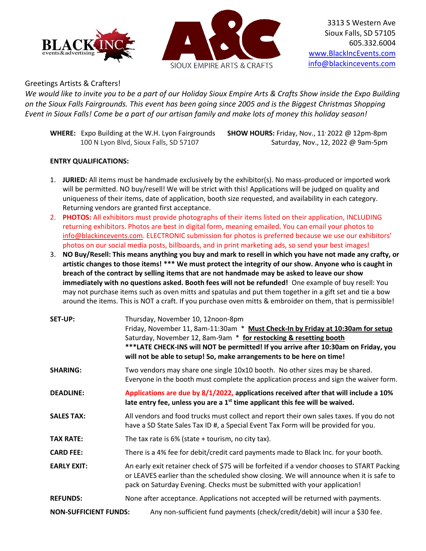



3313 S Western Ave Sioux Falls, SD 57105 605.332.6004 [www.BlackIncEvents.com](http://www.blackincevents.com/) [info@blackincevents.com](mailto:info@blackincevents.com)

## Greetings Artists & Crafters!

*We would like to invite you to be a part of our Holiday Sioux Empire Arts & Crafts Show inside the Expo Building on the Sioux Falls Fairgrounds. This event has been going since 2005 and is the Biggest Christmas Shopping Event in Sioux Falls! Come be a part of our artisan family and make lots of money this holiday season!* 

WHERE: Expo Building at the W.H. Lyon Fairgrounds SHOW HOURS: Friday, Nov., 11<sup>,</sup> 2022 @ 12pm-8pm

100 N Lyon Blvd, Sioux Falls, SD 57107 Saturday, Nov., 12, 2022 @ 9am-5pm

## **ENTRY QUALIFICATIONS:**

- 1. **JURIED:** All items must be handmade exclusively by the exhibitor(s). No mass-produced or imported work will be permitted. NO buy/resell! We will be strict with this! Applications will be judged on quality and uniqueness of their items, date of application, booth size requested, and availability in each category. Returning vendors are granted first acceptance.
- 2. **PHOTOS:** All exhibitors must provide photographs of their items listed on their application, INCLUDING returning exhibitors. Photos are best in digital form, meaning emailed. You can email your photos to [info@blackincevents.com.](mailto:info@blackincevents.com) ELECTRONIC submission for photos is preferred because we use our exhibitors' photos on our social media posts, billboards, and in print marketing ads, so send your best images!
- 3. **NO Buy/Resell: This means anything you buy and mark to resell in which you have not made any crafty, or artistic changes to those items! \*\*\* We must protect the integrity of our show. Anyone who is caught in breach of the contract by selling items that are not handmade may be asked to leave our show immediately with no questions asked. Booth fees will not be refunded!** One example of buy resell: You may not purchase items such as oven mitts and spatulas and put them together in a gift set and tie a bow around the items. This is NOT a craft. If you purchase oven mitts & embroider on them, that is permissible!

| SET-UP:                      | Thursday, November 10, 12noon-8pm<br>Friday, November 11, 8am-11:30am * Must Check-In by Friday at 10:30am for setup<br>Saturday, November 12, 8am-9am * for restocking & resetting booth<br>***LATE CHECK-INS will NOT be permitted! If you arrive after 10:30am on Friday, you<br>will not be able to setup! So, make arrangements to be here on time! |  |
|------------------------------|----------------------------------------------------------------------------------------------------------------------------------------------------------------------------------------------------------------------------------------------------------------------------------------------------------------------------------------------------------|--|
| <b>SHARING:</b>              | Two vendors may share one single 10x10 booth. No other sizes may be shared.<br>Everyone in the booth must complete the application process and sign the waiver form.                                                                                                                                                                                     |  |
| <b>DEADLINE:</b>             | Applications are due by 8/1/2022, applications received after that will include a 10%<br>late entry fee, unless you are a 1 <sup>st</sup> time applicant this fee will be waived.                                                                                                                                                                        |  |
| <b>SALES TAX:</b>            | All vendors and food trucks must collect and report their own sales taxes. If you do not<br>have a SD State Sales Tax ID #, a Special Event Tax Form will be provided for you.                                                                                                                                                                           |  |
| <b>TAX RATE:</b>             | The tax rate is $6\%$ (state + tourism, no city tax).                                                                                                                                                                                                                                                                                                    |  |
| <b>CARD FEE:</b>             | There is a 4% fee for debit/credit card payments made to Black Inc. for your booth.                                                                                                                                                                                                                                                                      |  |
| <b>EARLY EXIT:</b>           | An early exit retainer check of \$75 will be forfeited if a vendor chooses to START Packing<br>or LEAVES earlier than the scheduled show closing. We will announce when it is safe to<br>pack on Saturday Evening. Checks must be submitted with your application!                                                                                       |  |
| <b>REFUNDS:</b>              | None after acceptance. Applications not accepted will be returned with payments.                                                                                                                                                                                                                                                                         |  |
| <b>NON-SUFFICIENT FUNDS:</b> | Any non-sufficient fund payments (check/credit/debit) will incur a \$30 fee.                                                                                                                                                                                                                                                                             |  |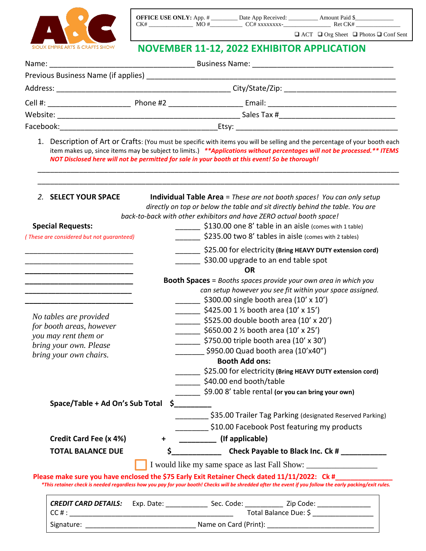

r

| <b>OFFICE USE ONLY:</b> App. # |     | Date App Received: | Amount Paid \$ |  |
|--------------------------------|-----|--------------------|----------------|--|
| CK#                            | MO# | $CC#$ xxxxxxxx -   | Ret CK#        |  |

❑ ACT ❑ Org Sheet ❑ Photos ❑ Conf Sent

## **NOVEMBER 11-12, 2022 EXHIBITOR APPLICATION**

|  | 1. Description of Art or Crafts: (You must be specific with items you will be selling and the percentage of your booth each<br>item makes up, since items may be subject to limits.) **Applications without percentages will not be processed.** ITEMS<br>NOT Disclosed here will not be permitted for sale in your booth at this event! So be thorough! |
|--|----------------------------------------------------------------------------------------------------------------------------------------------------------------------------------------------------------------------------------------------------------------------------------------------------------------------------------------------------------|

| 2. SELECT YOUR SPACE                                                                                                  |           | <b>Individual Table Area</b> = These are not booth spaces! You can only setup<br>directly on top or below the table and sit directly behind the table. You are                                                                                                   |
|-----------------------------------------------------------------------------------------------------------------------|-----------|------------------------------------------------------------------------------------------------------------------------------------------------------------------------------------------------------------------------------------------------------------------|
|                                                                                                                       |           | back-to-back with other exhibitors and have ZERO actual booth space!                                                                                                                                                                                             |
| <b>Special Requests:</b>                                                                                              |           | \$130.00 one 8' table in an aisle (comes with 1 table)                                                                                                                                                                                                           |
| (These are considered but not guaranteed)                                                                             |           | \$235.00 two 8' tables in aisle (comes with 2 tables)                                                                                                                                                                                                            |
|                                                                                                                       |           | \$25.00 for electricity (Bring HEAVY DUTY extension cord)                                                                                                                                                                                                        |
|                                                                                                                       |           | \$30.00 upgrade to an end table spot                                                                                                                                                                                                                             |
|                                                                                                                       |           | <b>OR</b>                                                                                                                                                                                                                                                        |
|                                                                                                                       |           | <b>Booth Spaces</b> = Booths spaces provide your own area in which you                                                                                                                                                                                           |
| <u> 1989 - Johann John Stone, markin amerikan bisa di sebagai pertama dan pertama dan pertama dan pertama dan per</u> |           | can setup however you see fit within your space assigned.                                                                                                                                                                                                        |
|                                                                                                                       |           | ______ \$300.00 single booth area (10' x 10')                                                                                                                                                                                                                    |
|                                                                                                                       |           | $\frac{1}{2}$ \$425.00 1 % booth area (10' x 15')                                                                                                                                                                                                                |
| No tables are provided                                                                                                |           | \$525.00 double booth area (10' x 20')                                                                                                                                                                                                                           |
| for booth areas, however                                                                                              |           | $\frac{1}{2}$ \$650.00 2 % booth area (10' x 25')                                                                                                                                                                                                                |
| you may rent them or                                                                                                  |           | $\frac{1}{2}$ \$750.00 triple booth area (10' x 30')                                                                                                                                                                                                             |
| bring your own. Please                                                                                                |           | \$950.00 Quad booth area (10'x40")                                                                                                                                                                                                                               |
| bring your own chairs.                                                                                                |           | <b>Booth Add ons:</b>                                                                                                                                                                                                                                            |
|                                                                                                                       |           | \$25.00 for electricity (Bring HEAVY DUTY extension cord)                                                                                                                                                                                                        |
|                                                                                                                       |           | _______ \$40.00 end booth/table                                                                                                                                                                                                                                  |
|                                                                                                                       |           | \$9.00 8' table rental (or you can bring your own)                                                                                                                                                                                                               |
| Space/Table + Ad On's Sub Total                                                                                       |           | $\zeta$                                                                                                                                                                                                                                                          |
|                                                                                                                       |           | \$35.00 Trailer Tag Parking (designated Reserved Parking)                                                                                                                                                                                                        |
|                                                                                                                       |           | \$10.00 Facebook Post featuring my products                                                                                                                                                                                                                      |
| Credit Card Fee (x 4%)                                                                                                | $\ddot{}$ | (If applicable)                                                                                                                                                                                                                                                  |
| <b>TOTAL BALANCE DUE</b>                                                                                              | \$        | Check Payable to Black Inc. Ck #                                                                                                                                                                                                                                 |
|                                                                                                                       |           | I would like my same space as last Fall Show: __________________________________                                                                                                                                                                                 |
|                                                                                                                       |           | Please make sure you have enclosed the \$75 Early Exit Retainer Check dated 11/11/2022: Ck #_______<br>*This retainer check is needed regardless how you pay for your booth! Checks will be shredded after the event if you follow the early packing/exit rules. |
|                                                                                                                       |           |                                                                                                                                                                                                                                                                  |
| <b>CREDIT CARD DETAILS:</b><br>$CC$ # $:$                                                                             |           | Total Balance Due: \$                                                                                                                                                                                                                                            |
| Signature:                                                                                                            |           | Name on Card (Print): _                                                                                                                                                                                                                                          |